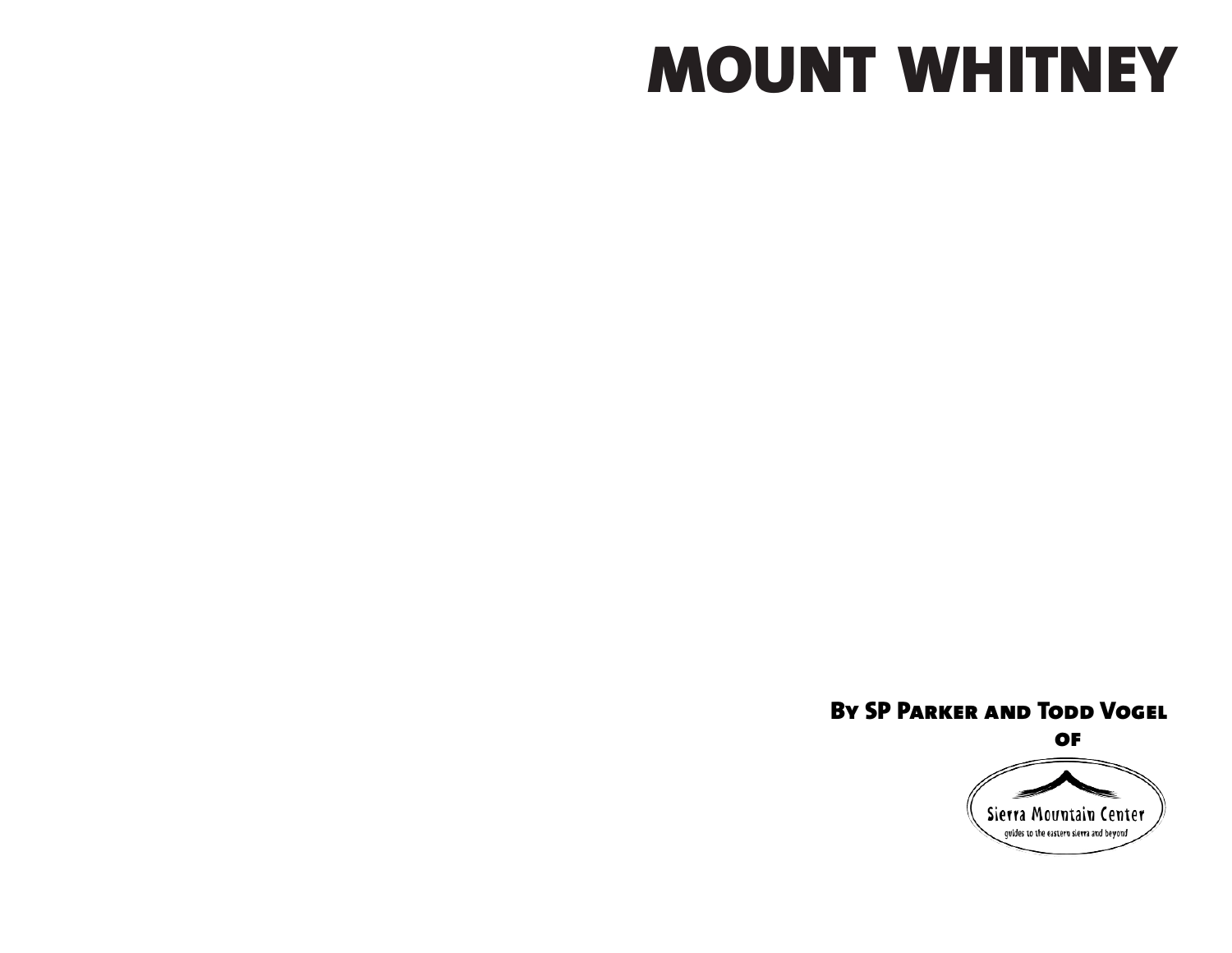# **MOUNT WHITNEY**

### **By SP Parker and Todd Vogel**

**of**

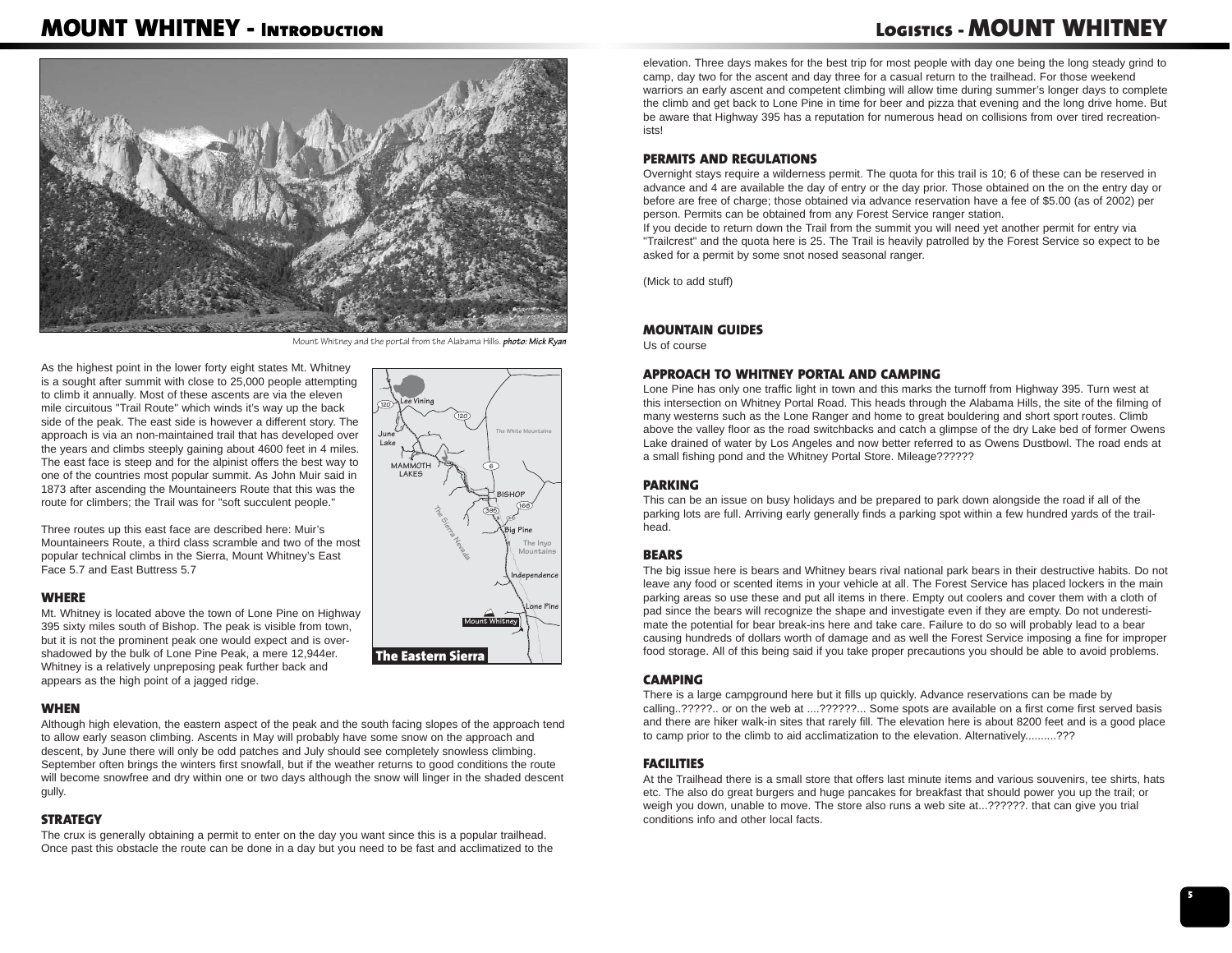# **MOUNT WHITNEY - Introduction**

# **Logistics - MOUNT WHITNEY**



Mount Whitney and the portal from the Alabama Hills. *photo: Mick Ryan*

As the highest point in the lower forty eight states Mt. Whitney is a sought after summit with close to 25,000 people attempting to climb it annually. Most of these ascents are via the eleven mile circuitous "Trail Route" which winds it's way up the back side of the peak. The east side is however a different story. The approach is via an non-maintained trail that has developed over the years and climbs steeply gaining about 4600 feet in 4 miles. The east face is steep and for the alpinist offers the best way to one of the countries most popular summit. As John Muir said in 1873 after ascending the Mountaineers Route that this was the route for climbers; the Trail was for "soft succulent people."

Three routes up this east face are described here: Muir's Mountaineers Route, a third class scramble and two of the most popular technical climbs in the Sierra, Mount Whitney's East Face 5.7 and East Buttress 5.7

#### **WHERE**

Mt. Whitney is located above the town of Lone Pine on Highway 395 sixty miles south of Bishop. The peak is visible from town, but it is not the prominent peak one would expect and is overshadowed by the bulk of Lone Pine Peak, a mere 12,944er. Whitney is a relatively unpreposing peak further back and appears as the high point of a jagged ridge.

### **WHEN**

Although high elevation, the eastern aspect of the peak and the south facing slopes of the approach tend to allow early season climbing. Ascents in May will probably have some snow on the approach and descent, by June there will only be odd patches and July should see completely snowless climbing. September often brings the winters first snowfall, but if the weather returns to good conditions the route will become snowfree and dry within one or two days although the snow will linger in the shaded descent gully.

### **STRATEGY**

The crux is generally obtaining a permit to enter on the day you want since this is a popular trailhead. Once past this obstacle the route can be done in a day but you need to be fast and acclimatized to the



elevation. Three days makes for the best trip for most people with day one being the long steady grind to camp, day two for the ascent and day three for a casual return to the trailhead. For those weekend warriors an early ascent and competent climbing will allow time during summer's longer days to complete the climb and get back to Lone Pine in time for beer and pizza that evening and the long drive home. But be aware that Highway 395 has a reputation for numerous head on collisions from over tired recreationists!

#### **PERMITS AND REGULATIONS**

Overnight stays require a wilderness permit. The quota for this trail is 10; 6 of these can be reserved in advance and 4 are available the day of entry or the day prior. Those obtained on the on the entry day or before are free of charge; those obtained via advance reservation have a fee of \$5.00 (as of 2002) per person. Permits can be obtained from any Forest Service ranger station.

If you decide to return down the Trail from the summit you will need yet another permit for entry via "Trailcrest" and the quota here is 25. The Trail is heavily patrolled by the Forest Service so expect to be asked for a permit by some snot nosed seasonal ranger.

(Mick to add stuff)

### **MOUNTAIN GUIDES**

Us of course

#### **APPROACH TO WHITNEY PORTAL AND CAMPING**

Lone Pine has only one traffic light in town and this marks the turnoff from Highway 395. Turn west at this intersection on Whitney Portal Road. This heads through the Alabama Hills, the site of the filming of many westerns such as the Lone Ranger and home to great bouldering and short sport routes. Climb above the valley floor as the road switchbacks and catch a glimpse of the dry Lake bed of former Owens Lake drained of water by Los Angeles and now better referred to as Owens Dustbowl. The road ends at a small fishing pond and the Whitney Portal Store. Mileage??????

#### **PARKING**

This can be an issue on busy holidays and be prepared to park down alongside the road if all of the parking lots are full. Arriving early generally finds a parking spot within a few hundred yards of the trailhead.

#### **BEARS**

The big issue here is bears and Whitney bears rival national park bears in their destructive habits. Do not leave any food or scented items in your vehicle at all. The Forest Service has placed lockers in the main parking areas so use these and put all items in there. Empty out coolers and cover them with a cloth of pad since the bears will recognize the shape and investigate even if they are empty. Do not underestimate the potential for bear break-ins here and take care. Failure to do so will probably lead to a bear causing hundreds of dollars worth of damage and as well the Forest Service imposing a fine for improper food storage. All of this being said if you take proper precautions you should be able to avoid problems.

#### **CAMPING**

There is a large campground here but it fills up quickly. Advance reservations can be made by calling..?????.. or on the web at ....??????... Some spots are available on a first come first served basis and there are hiker walk-in sites that rarely fill. The elevation here is about 8200 feet and is a good place to camp prior to the climb to aid acclimatization to the elevation. Alternatively..........???

#### **FACILITIES**

At the Trailhead there is a small store that offers last minute items and various souvenirs, tee shirts, hats etc. The also do great burgers and huge pancakes for breakfast that should power you up the trail; or weigh you down, unable to move. The store also runs a web site at...??????. that can give you trial conditions info and other local facts.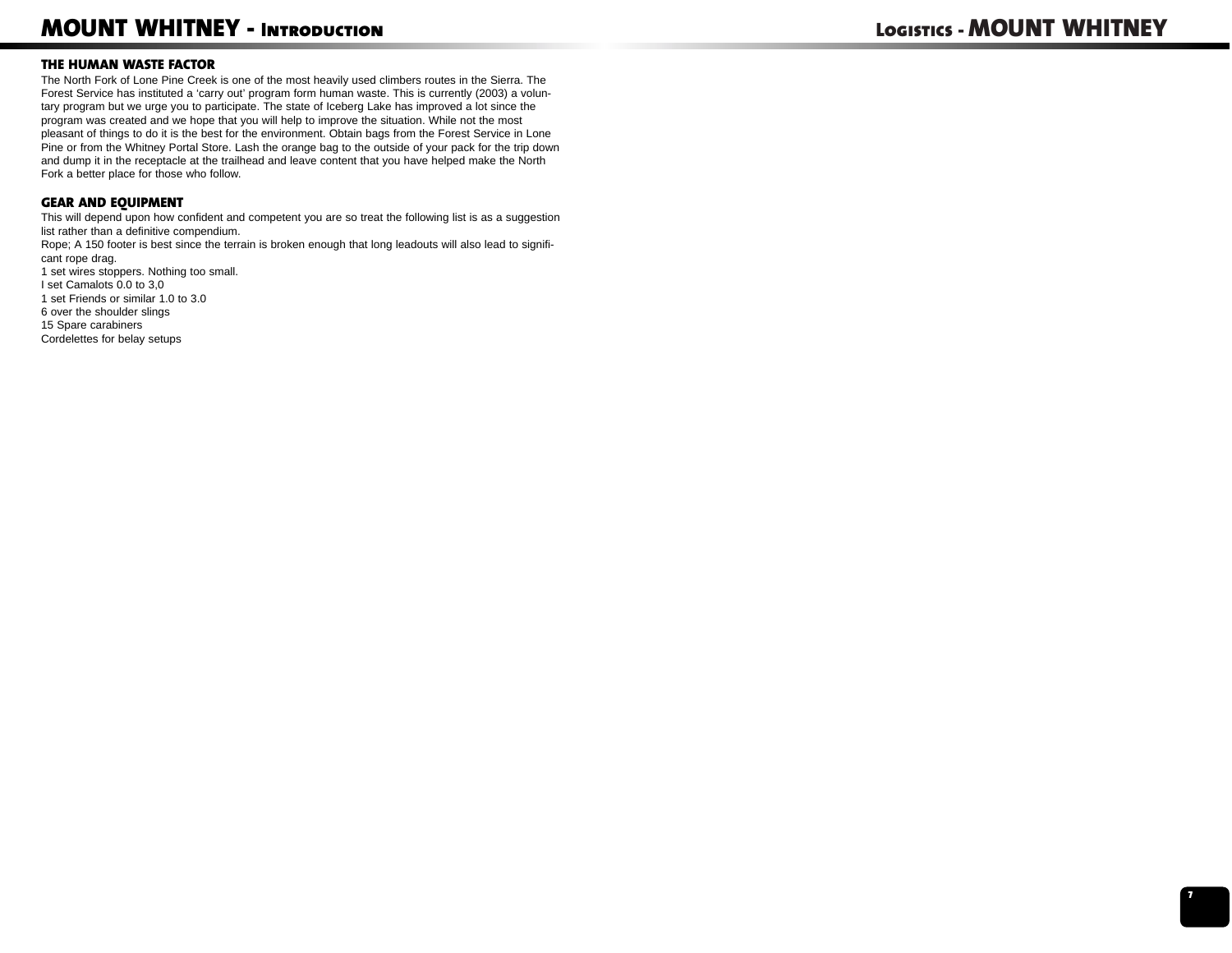# **MOUNT WHITNEY - Introduction**

### **THE HUMAN WASTE FACTOR**

The North Fork of Lone Pine Creek is one of the most heavily used climbers routes in the Sierra. The Forest Service has instituted a 'carry out' program form human waste. This is currently (2003) a voluntary program but we urge you to participate. The state of Iceberg Lake has improved a lot since the program was created and we hope that you will help to improve the situation. While not the most pleasant of things to do it is the best for the environment. Obtain bags from the Forest Service in Lone Pine or from the Whitney Portal Store. Lash the orange bag to the outside of your pack for the trip down and dump it in the receptacle at the trailhead and leave content that you have helped make the North Fork a better place for those who follow.

### **GEAR AND EQUIPMENT**

This will depend upon how confident and competent you are so treat the following list is as a suggestion list rather than a definitive compendium.

Rope; A 150 footer is best since the terrain is broken enough that long leadouts will also lead to significant rope drag.

1 set wires stoppers. Nothing too small. I set Camalots 0.0 to 3,0 1 set Friends or similar 1.0 to 3.06 over the shoulder slings 15 Spare carabiners Cordelettes for belay setups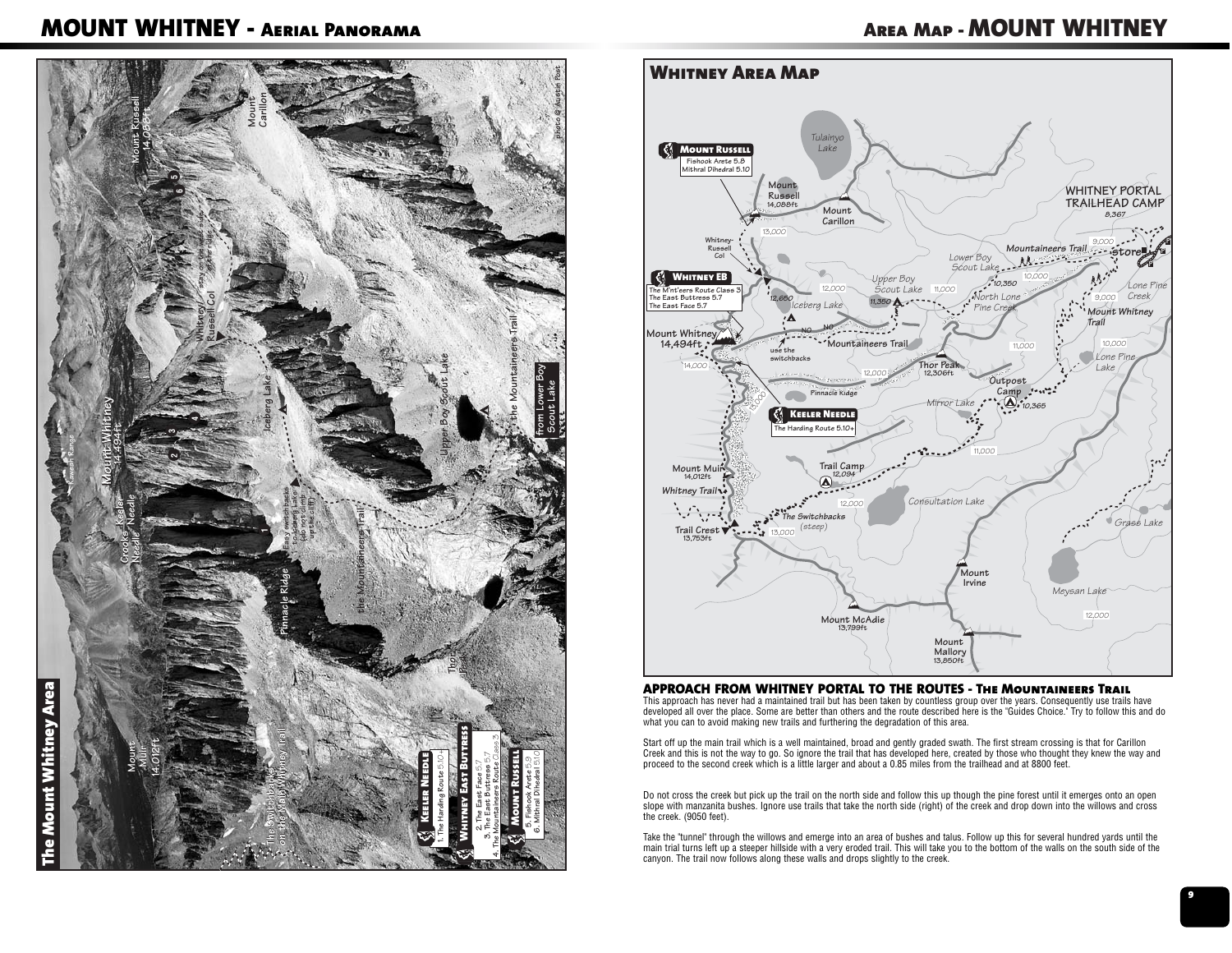# **MOUNT WHITNEY - Aerial Panorama**

# **Area Map - MOUNT WHITNEY**





#### **APPROACH FROM WHITNEY PORTAL TO THE ROUTES - The Mountaineers Trail**

 This approach has never had a maintained trail but has been taken by countless group over the years. Consequently use trails have developed all over the place. Some are better than others and the route described here is the "Guides Choice." Try to follow this and do what you can to avoid making new trails and furthering the degradation of this area.

Start off up the main trail which is a well maintained, broad and gently graded swath. The first stream crossing is that for Carillon<br>Creek and this is not the way to go. So ignore the trail that has developed here, create

Do not cross the creek but pick up the trail on the north side and follow this up though the pine forest until it emerges onto an open slope with manzanita bushes. Ignore use trails that take the north side (right) of the creek and drop down into the willows and cross the creek. (9050 feet).

Take the "tunnel" through the willows and emerge into an area of bushes and talus. Follow up this for several hundred yards until the main trial turns left up a steeper hillside with a very eroded trail. This will take you to the bottom of the walls on the south side of the canyon. The trail now follows along these walls and drops slightly to the creek.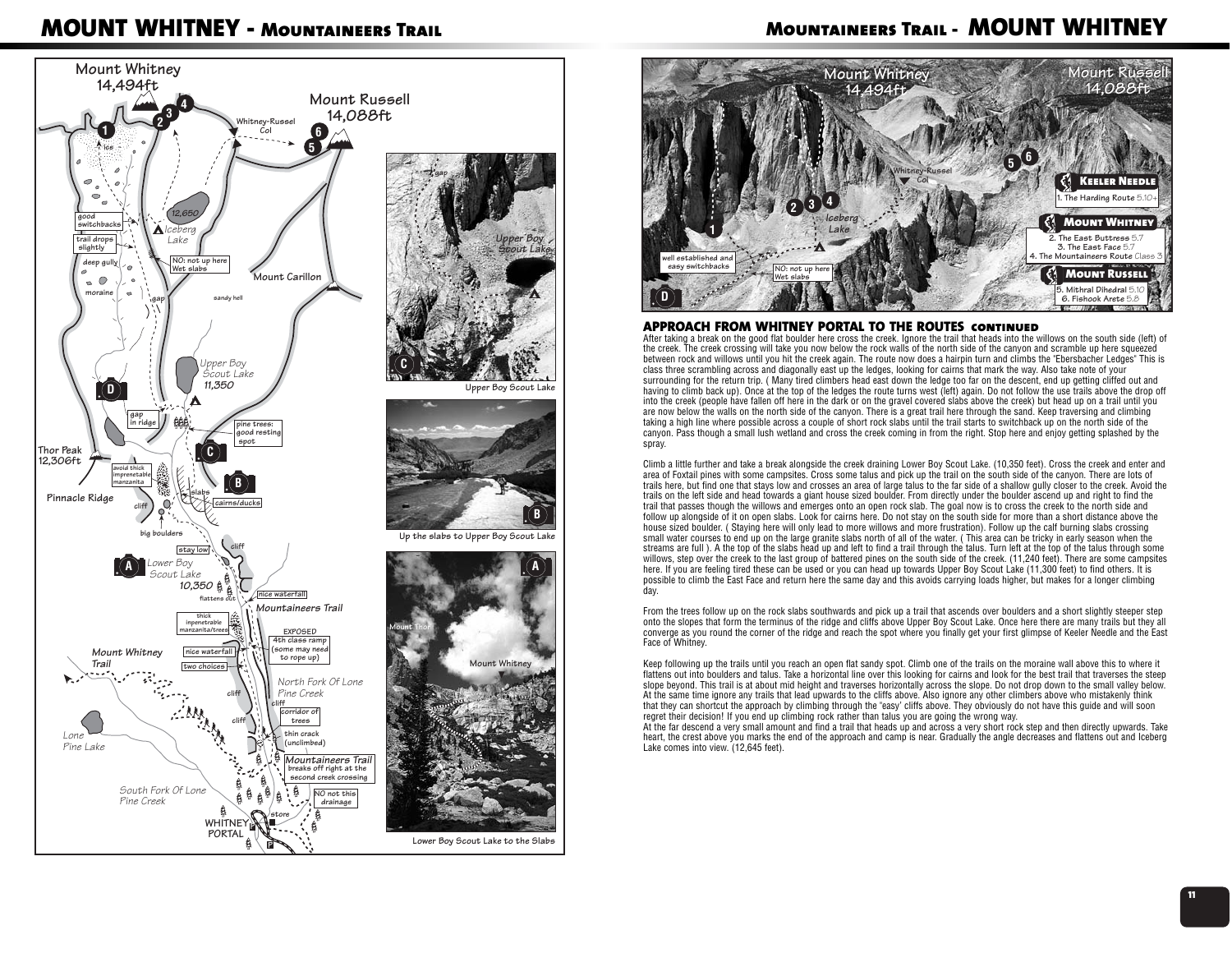# **MOUNT WHITNEY - Mountaineers Trail**



### **Mountaineers Trail - MOUNT WHITNEY**



#### **APPROACH FROM WHITNEY PORTAL TO THE ROUTES continued**

 After taking a break on the good flat boulder here cross the creek. Ignore the trail that heads into the willows on the south side (left) of the creek. The creek crossing will take you now below the rock walls of the north side of the canyon and scramble up here squeezed between rock and willows until you hit the creek again. The route now does a hairpin turn and climbs the "Ebersbacher Ledges" This is class three scrambling across and diagonally east up the ledges, looking for cairns that mark the way. Also take note of your surrounding for the return trip. ( Many tired climbers head east down the ledge too far on the descent, end up getting cliffed out and having to climb back up). Once at the top of the ledges the route turns west (left) again. Do not follow the use trails above the drop off into the creek (people have fallen off here in the dark or on the gravel covered slabs above the creek) but head up on a trail until you are now below the walls on the north side of the canyon. There is a great trail here through the sand. Keep traversing and climbing taking a high line where possible across a couple of short rock slabs until the trail starts to switchback up on the north side of the canyon. Pass though a small lush wetland and cross the creek coming in from the right. Stop here and enjoy getting splashed by the spray

Climb a little further and take a break alongside the creek draining Lower Boy Scout Lake. (10,350 feet). Cross the creek and enter and area of Foxtail pines with some campsites. Cross some talus and pick up the trail on the south side of the canyon. There are lots of trails here, but find one that stays low and crosses an area of large talus to the far side of a shallow gully closer to the creek. Avoid the trails on the left side and head towards a giant house sized boulder. From directly under the boulder ascend up and right to find the trail that passes though the willows and emerges onto an open rock slab. The goal now is to cross the creek to the north side and follow up alongside of it on open slabs. Look for cairns here. Do not stay on the south side for more than a short distance above the house sized boulder. ( Staying here will only lead to more willows and more frustration). Follow up the calf burning slabs crossing small water courses to end up on the large granite slabs north of all of the water. ( This area can be tricky in early season when the streams are full ). A the top of the slabs head up and left to find a trail through the talus. Turn left at the top of the talus through some willows, step over the creek to the last group of battered pines on the south side of the creek. (11,240 feet). There are some campsites here. If you are feeling tired these can be used or you can head up towards Upper Boy Scout Lake (11,300 feet) to find others. It is possible to climb the East Face and return here the same day and this avoids carrying loads higher, but makes for a longer climbing day.

From the trees follow up on the rock slabs southwards and pick up a trail that ascends over boulders and a short slightly steeper step onto the slopes that form the terminus of the ridge and cliffs above Upper Boy Scout Lake. Once here there are many trails but they all converge as you round the corner of the ridge and reach the spot where you finally get your first glimpse of Keeler Needle and the East Face of Whitney.

Keep following up the trails until you reach an open flat sandy spot. Climb one of the trails on the moraine wall above this to where it flattens out into boulders and talus. Take a horizontal line over this looking for cairns and look for the best trail that traverses the steep slope beyond. This trail is at about mid height and traverses horizontally across the slope. Do not drop down to the small valley below. At the same time ignore any trails that lead upwards to the cliffs above. Also ignore any other climbers above who mistakenly think that they can shortcut the approach by climbing through the "easy' cliffs above. They obviously do not have this guide and will soon regret their decision! If you end up climbing rock rather than talus you are going the wrong way.

At the far descend a very small amount and find a trail that heads up and across a very short rock step and then directly upwards. Take heart, the crest above you marks the end of the approach and camp is near. Gradually the angle decreases and flattens out and Iceberg Lake comes into view. (12,645 feet).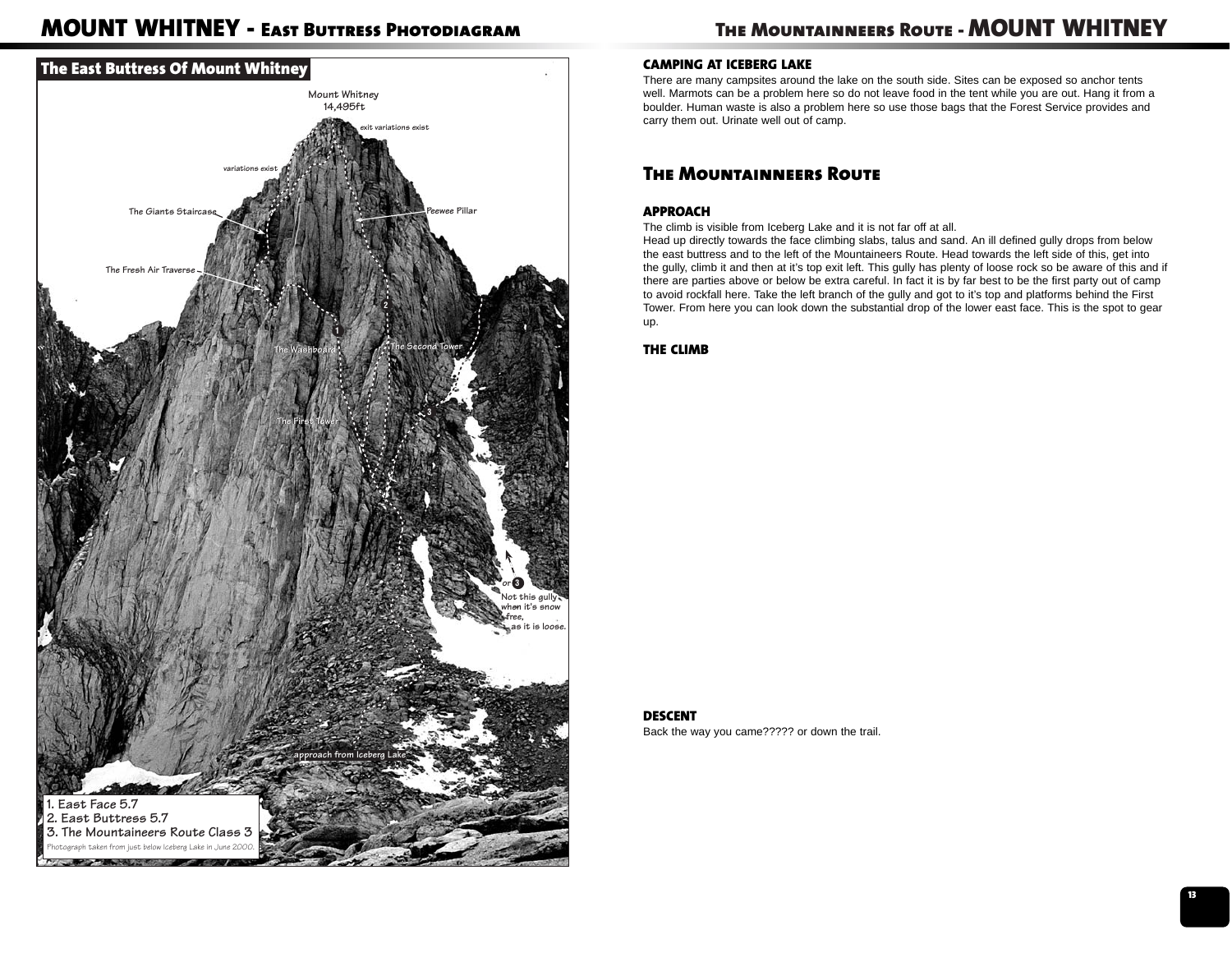# **MOUNT WHITNEY - East Buttress Photodiagram**



# **The Mountainneers Route - MOUNT WHITNEY**

### **CAMPING AT ICEBERG LAKE**

There are many campsites around the lake on the south side. Sites can be exposed so anchor tents well. Marmots can be a problem here so do not leave food in the tent while you are out. Hang it from a boulder. Human waste is also a problem here so use those bags that the Forest Service provides and carry them out. Urinate well out of camp.

### **The Mountainneers Route**

### **APPROACH**

The climb is visible from Iceberg Lake and it is not far off at all.

Head up directly towards the face climbing slabs, talus and sand. An ill defined gully drops from below the east buttress and to the left of the Mountaineers Route. Head towards the left side of this, get into the gully, climb it and then at it's top exit left. This gully has plenty of loose rock so be aware of this and if there are parties above or below be extra careful. In fact it is by far best to be the first party out of camp to avoid rockfall here. Take the left branch of the gully and got to it's top and platforms behind the First Tower. From here you can look down the substantial drop of the lower east face. This is the spot to gear up.

**THE CLIMB**

#### **DESCENT**

Back the way you came????? or down the trail.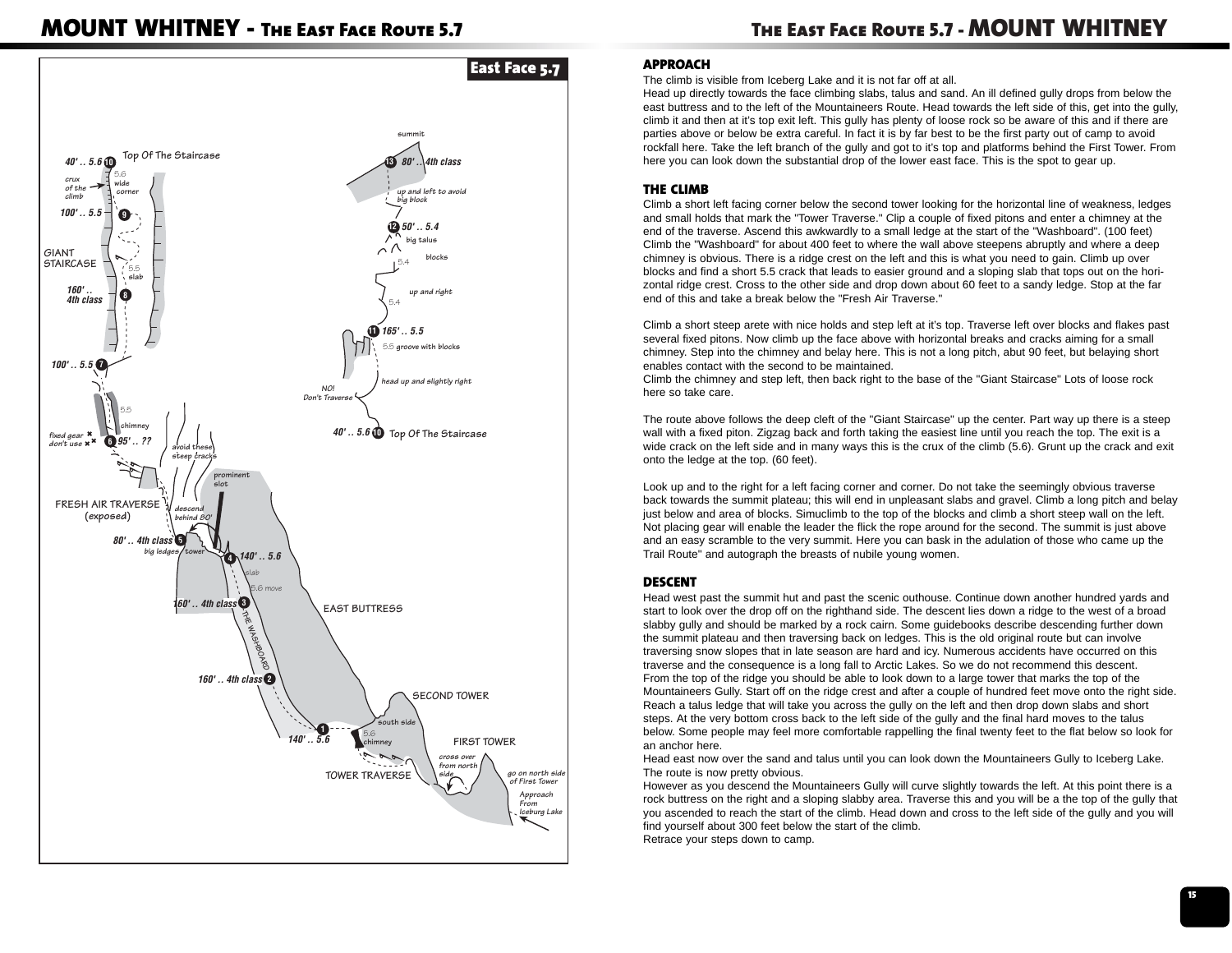### **MOUNT WHITNEY - The East Face Route 5.7**



### **APPROACH**

The climb is visible from Iceberg Lake and it is not far off at all.

Head up directly towards the face climbing slabs, talus and sand. An ill defined gully drops from below the east buttress and to the left of the Mountaineers Route. Head towards the left side of this, get into the gully, climb it and then at it's top exit left. This gully has plenty of loose rock so be aware of this and if there are parties above or below be extra careful. In fact it is by far best to be the first party out of camp to avoid rockfall here. Take the left branch of the gully and got to it's top and platforms behind the First Tower. From here you can look down the substantial drop of the lower east face. This is the spot to gear up.

### **THE CLIMB**

Climb a short left facing corner below the second tower looking for the horizontal line of weakness, ledges and small holds that mark the "Tower Traverse." Clip a couple of fixed pitons and enter a chimney at the end of the traverse. Ascend this awkwardly to a small ledge at the start of the "Washboard". (100 feet) Climb the "Washboard" for about 400 feet to where the wall above steepens abruptly and where a deep chimney is obvious. There is a ridge crest on the left and this is what you need to gain. Climb up over blocks and find a short 5.5 crack that leads to easier ground and a sloping slab that tops out on the horizontal ridge crest. Cross to the other side and drop down about 60 feet to a sandy ledge. Stop at the far end of this and take a break below the "Fresh Air Traverse."

Climb a short steep arete with nice holds and step left at it's top. Traverse left over blocks and flakes past several fixed pitons. Now climb up the face above with horizontal breaks and cracks aiming for a small chimney. Step into the chimney and belay here. This is not a long pitch, abut 90 feet, but belaying short enables contact with the second to be maintained.

Climb the chimney and step left, then back right to the base of the "Giant Staircase" Lots of loose rock here so take care.

The route above follows the deep cleft of the "Giant Staircase" up the center. Part way up there is a steep wall with a fixed piton. Zigzag back and forth taking the easiest line until you reach the top. The exit is a wide crack on the left side and in many ways this is the crux of the climb (5.6). Grunt up the crack and exit onto the ledge at the top. (60 feet).

Look up and to the right for a left facing corner and corner. Do not take the seemingly obvious traverse back towards the summit plateau; this will end in unpleasant slabs and gravel. Climb a long pitch and belay just below and area of blocks. Simuclimb to the top of the blocks and climb a short steep wall on the left. Not placing gear will enable the leader the flick the rope around for the second. The summit is just above and an easy scramble to the very summit. Here you can bask in the adulation of those who came up the Trail Route" and autograph the breasts of nubile young women.

### **DESCENT**

Head west past the summit hut and past the scenic outhouse. Continue down another hundred yards and start to look over the drop off on the righthand side. The descent lies down a ridge to the west of a broad slabby gully and should be marked by a rock cairn. Some guidebooks describe descending further down the summit plateau and then traversing back on ledges. This is the old original route but can involve traversing snow slopes that in late season are hard and icy. Numerous accidents have occurred on this traverse and the consequence is a long fall to Arctic Lakes. So we do not recommend this descent. From the top of the ridge you should be able to look down to a large tower that marks the top of the Mountaineers Gully. Start off on the ridge crest and after a couple of hundred feet move onto the right side. Reach a talus ledge that will take you across the gully on the left and then drop down slabs and short steps. At the very bottom cross back to the left side of the gully and the final hard moves to the talus below. Some people may feel more comfortable rappelling the final twenty feet to the flat below so look for an anchor here.

Head east now over the sand and talus until you can look down the Mountaineers Gully to Iceberg Lake. The route is now pretty obvious.

However as you descend the Mountaineers Gully will curve slightly towards the left. At this point there is a rock buttress on the right and a sloping slabby area. Traverse this and you will be a the top of the gully that you ascended to reach the start of the climb. Head down and cross to the left side of the gully and you will find yourself about 300 feet below the start of the climb. Retrace your steps down to camp.

**15**